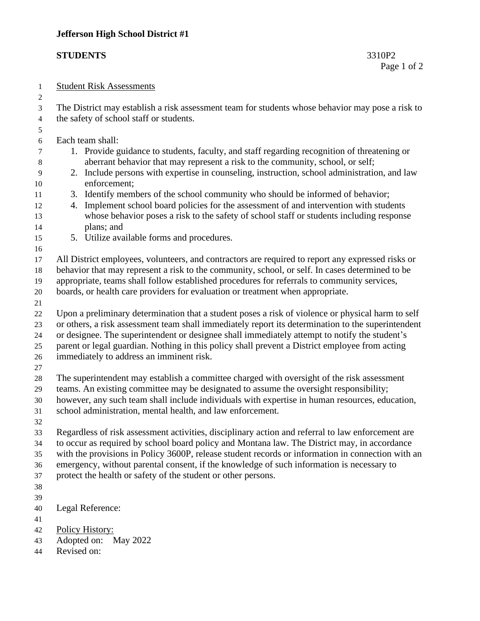## **STUDENTS** 3310P2

## Student Risk Assessments

 The District may establish a risk assessment team for students whose behavior may pose a risk to the safety of school staff or students.

## Each team shall:

- 1. Provide guidance to students, faculty, and staff regarding recognition of threatening or aberrant behavior that may represent a risk to the community, school, or self;
- 2. Include persons with expertise in counseling, instruction, school administration, and law enforcement;
- 3. Identify members of the school community who should be informed of behavior;
- 4. Implement school board policies for the assessment of and intervention with students whose behavior poses a risk to the safety of school staff or students including response plans; and
- 5. Utilize available forms and procedures.
- 

- All District employees, volunteers, and contractors are required to report any expressed risks or
- behavior that may represent a risk to the community, school, or self. In cases determined to be appropriate, teams shall follow established procedures for referrals to community services,
- boards, or health care providers for evaluation or treatment when appropriate.
- 

 Upon a preliminary determination that a student poses a risk of violence or physical harm to self or others, a risk assessment team shall immediately report its determination to the superintendent

or designee. The superintendent or designee shall immediately attempt to notify the student's

parent or legal guardian. Nothing in this policy shall prevent a District employee from acting

- immediately to address an imminent risk.
- 

The superintendent may establish a committee charged with oversight of the risk assessment

- teams. An existing committee may be designated to assume the oversight responsibility;
- however, any such team shall include individuals with expertise in human resources, education,
- school administration, mental health, and law enforcement.
- 

 Regardless of risk assessment activities, disciplinary action and referral to law enforcement are to occur as required by school board policy and Montana law. The District may, in accordance with the provisions in Policy 3600P, release student records or information in connection with an emergency, without parental consent, if the knowledge of such information is necessary to

- protect the health or safety of the student or other persons.
- 
- 
- Legal Reference:
- 
- Policy History:
- Adopted on: May 2022
- Revised on: